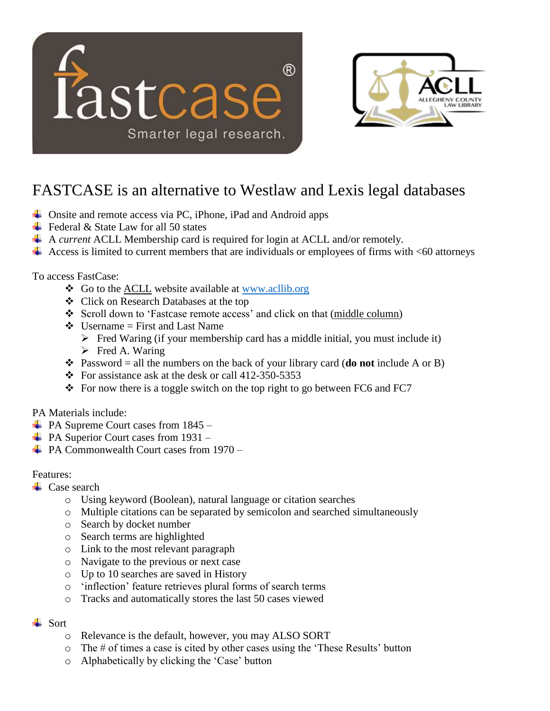



# FASTCASE is an alternative to Westlaw and Lexis legal databases

- **↓** Onsite and remote access via PC, iPhone, iPad and Android apps
- $\div$  Federal & State Law for all 50 states
- A *current* ACLL Membership card is required for login at ACLL and/or remotely.
- $\overline{\phantom{a}}$  Access is limited to current members that are individuals or employees of firms with <60 attorneys

To access FastCase:

- Go to the **ACLL** website available at [www.acllib.org](http://www.acllib.org/)
- Click on Research Databases at the top
- Scroll down to 'Fastcase remote access' and click on that (middle column)
- $\triangleleft$  Username = First and Last Name
	- $\triangleright$  Fred Waring (if your membership card has a middle initial, you must include it)
	- $\triangleright$  Fred A. Waring
- Password = all the numbers on the back of your library card (**do not** include A or B)
- $\div$  For assistance ask at the desk or call 412-350-5353
- For now there is a toggle switch on the top right to go between FC6 and FC7

### PA Materials include:

- $\overline{\phantom{1}}$  PA Supreme Court cases from 1845 –
- $\overline{\phantom{a}}$  PA Superior Court cases from 1931 –
- PA Commonwealth Court cases from 1970 –

### Features:

- $\leftarrow$  Case search
	- o Using keyword (Boolean), natural language or citation searches
	- o Multiple citations can be separated by semicolon and searched simultaneously
	- o Search by docket number
	- o Search terms are highlighted
	- o Link to the most relevant paragraph
	- o Navigate to the previous or next case
	- o Up to 10 searches are saved in History
	- o 'inflection' feature retrieves plural forms of search terms
	- o Tracks and automatically stores the last 50 cases viewed

### $\overline{\phantom{a}}$  Sort

- o Relevance is the default, however, you may ALSO SORT
- $\circ$  The # of times a case is cited by other cases using the 'These Results' button
- o Alphabetically by clicking the 'Case' button